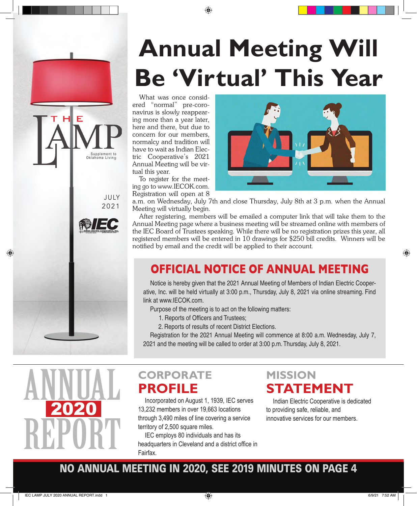# **Annual Meeting Will Be 'Virtual' This Year**

What was once considered "normal" pre-coronavirus is slowly reappearing more than a year later, here and there, but due to concern for our members, normalcy and tradition will have to wait as Indian Electric Cooperative's 2021 Annual Meeting will be virtual this year.

To register for the meeting go to www.IECOK.com. Registration will open at 8

JULY 2021

indian electric cooperative, inc. 918-295-9500 www.iecok.com

1 FC

Supplement to<br>Oklahoma Living

**HLE** 



a.m. on Wednesday, July 7th and close Thursday, July 8th at 3 p.m. when the Annual Meeting will virtually begin.

After registering, members will be emailed a computer link that will take them to the Annual Meeting page where a business meeting will be streamed online with members of the IEC Board of Trustees speaking. While there will be no registration prizes this year, all registered members will be entered in 10 drawings for \$250 bill credits. Winners will be notified by email and the credit will be applied to their account.

# **OFFICIAL NOTICE OF ANNUAL MEETING**

Notice is hereby given that the 2021 Annual Meeting of Members of Indian Electric Cooperative, Inc. will be held virtually at 3:00 p.m., Thursday, July 8, 2021 via online streaming. Find link at www.IECOK.com.

Purpose of the meeting is to act on the following matters:

- 1. Reports of Officers and Trustees;
- 2. Reports of results of recent District Elections.

Registration for the 2021 Annual Meeting will commence at 8:00 a.m. Wednesday, July 7, 2021 and the meeting will be called to order at 3:00 p.m. Thursday, July 8, 2021.



# **CORPORATE PROFILE**

Incorporated on August 1, 1939, IEC serves<br>13,232 members in over 19,663 locations<br>through 3,490 miles of line covering a service 13,232 members in over 19,663 locations through 3,490 miles of line covering a service territory of 2,500 square miles.

> IEC employs 80 individuals and has its headquarters in Cleveland and a district office in Fairfax.

## **MISSION STATEMENT**

Indian Electric Cooperative is dedicated to providing safe, reliable, and innovative services for our members.

## **NO ANNUAL MEETING IN 2020, SEE 2019 MINUTES ON PAGE 4**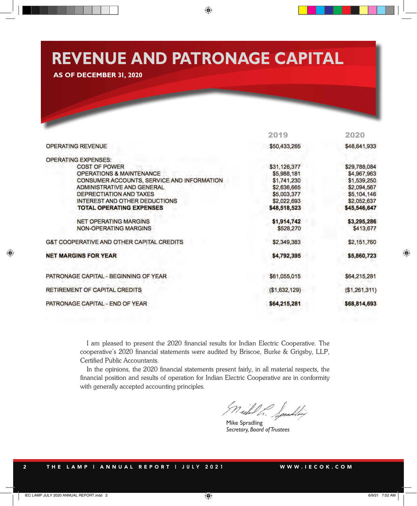# **REVENUE AND PATRONAGE CAPITAL**

**AS OF DECEMBER 31, 2020**

|                                                      | 2019          | 2020          |
|------------------------------------------------------|---------------|---------------|
| <b>OPERATING REVENUE</b>                             | \$50,433,265  | \$48,841,933  |
| <b>OPERATING EXPENSES:</b>                           |               |               |
| <b>COST OF POWER</b>                                 | \$31,126,377  | \$29,788,084  |
| <b>OPERATIONS &amp; MAINTENANCE</b>                  | \$5,988,181   | \$4,967,963   |
| CONSUMER ACCOUNTS, SERVICE AND INFORMATION           | \$1,741,230   | \$1,539,250   |
| <b>ADMINISTRATIVE AND GENERAL</b>                    | \$2,636,665   | \$2,094,567   |
| <b>DEPRECTIATION AND TAXES</b>                       | \$5,003,377   | \$5,104,146   |
| <b>INTEREST AND OTHER DEDUCTIONS</b>                 | \$2,022,693   | \$2,052,637   |
| <b>TOTAL OPERATING EXPENSES</b>                      | \$48,518,523  | \$45,546,647  |
| <b>NET OPERATING MARGINS</b>                         | \$1,914,742   | \$3,295,286   |
| <b>NON-OPERATING MARGINS</b>                         | \$528,270     | \$413,677     |
| <b>G&amp;T COOPERATIVE AND OTHER CAPITAL CREDITS</b> | \$2,349,383   | \$2,151,760   |
| <b>NET MARGINS FOR YEAR</b>                          | \$4,792,395   | \$5,860,723   |
| PATRONAGE CAPITAL - BEGINNING OF YEAR                | \$61,055,015  | \$64,215,281  |
| <b>RETIREMENT OF CAPITAL CREDITS</b>                 | (\$1,632,129) | (\$1,261,311) |
| PATRONAGE CAPITAL - END OF YEAR                      | \$64,215,281  | \$68,814,693  |

I am pleased to present the 2020 financial results for Indian Electric Cooperative. The cooperative's 2020 financial statements were audited by Briscoe, Burke & Grigsby, LLP, Certified Public Accountants.

In the opinions, the 2020 financial statements present fairly, in all material respects, the financial position and results of operation for Indian Electric Cooperative are in conformity with generally accepted accounting principles.

Nichol L. Spulling

Mike Spradling *Secretary, Board of Trustees*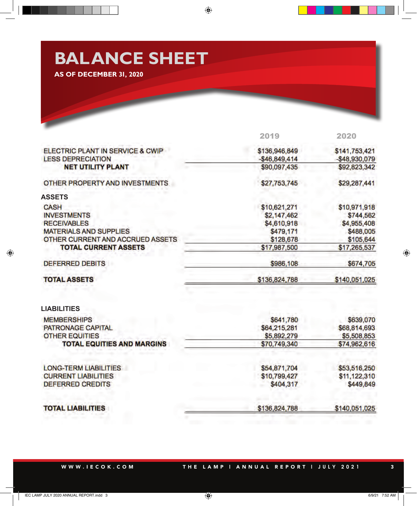# **BALANCE SHEET AS OF DECEMBER 31, 2020**

|                                                            | 2019                        | 2020                        |
|------------------------------------------------------------|-----------------------------|-----------------------------|
| ELECTRIC PLANT IN SERVICE & CWIP                           | \$136,946,849               | \$141,753,421               |
| <b>LESS DEPRECIATION</b>                                   | $-$ \$46,849,414            | $-$48,930,079$              |
| <b>NET UTILITY PLANT</b>                                   | \$90,097,435                | \$92,823,342                |
| OTHER PROPERTY AND INVESTMENTS.                            | \$27,753,745                | \$29,287,441                |
| <b>ASSETS</b>                                              |                             |                             |
| <b>CASH</b>                                                | \$10,621,271                | \$10,971,918                |
| <b>INVESTMENTS</b>                                         | \$2,147,462                 | \$744,562                   |
| <b>RECEIVABLES</b>                                         | \$4,610,918                 | \$4,955,408                 |
| <b>MATERIALS AND SUPPLIES</b>                              | \$479,171                   | \$488,005                   |
| OTHER CURRENT AND ACCRUED ASSETS                           | \$128,678                   | \$105,644                   |
| <b>TOTAL CURRENT ASSETS</b>                                | \$17,987,500                | \$17,265,537                |
| <b>DEFERRED DEBITS</b>                                     | \$986,108                   | \$674,705                   |
| <b>TOTAL ASSETS</b>                                        | \$136,824,788               | \$140,051,025               |
|                                                            |                             |                             |
| <b>LIABILITIES</b>                                         |                             |                             |
|                                                            |                             |                             |
| <b>MEMBERSHIPS</b><br><b>PATRONAGE CAPITAL</b>             | \$641,780                   | \$639,070                   |
|                                                            | \$64,215,281<br>\$5,892,279 | \$68,814,693<br>\$5,508,853 |
| <b>OTHER EQUITIES</b><br><b>TOTAL EQUITIES AND MARGINS</b> | \$70,749,340                | \$74,962,616                |
|                                                            |                             |                             |
| <b>LONG-TERM LIABILITIES</b>                               | \$54,871,704                | \$53,516,250                |
| <b>CURRENT LIABILITIES</b><br><b>DEFERRED CREDITS</b>      | \$10,799,427<br>\$404,317   | \$11,122,310<br>\$449,849   |